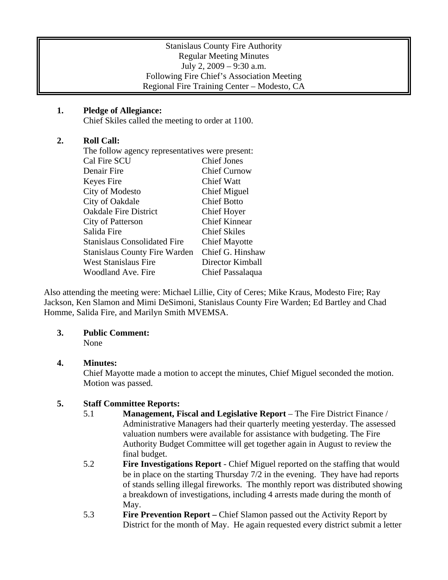#### Stanislaus County Fire Authority Regular Meeting Minutes July 2, 2009 – 9:30 a.m. Following Fire Chief's Association Meeting Regional Fire Training Center – Modesto, CA

### **1. Pledge of Allegiance:**

Chief Skiles called the meeting to order at 1100.

### **2. Roll Call:**

| The follow agency representatives were present: |                      |
|-------------------------------------------------|----------------------|
| Cal Fire SCU                                    | <b>Chief Jones</b>   |
| Denair Fire                                     | <b>Chief Curnow</b>  |
| Keyes Fire                                      | <b>Chief Watt</b>    |
| City of Modesto                                 | Chief Miguel         |
| City of Oakdale                                 | <b>Chief Botto</b>   |
| <b>Oakdale Fire District</b>                    | Chief Hoyer          |
| City of Patterson                               | <b>Chief Kinnear</b> |
| Salida Fire                                     | <b>Chief Skiles</b>  |
| <b>Stanislaus Consolidated Fire</b>             | <b>Chief Mayotte</b> |
| <b>Stanislaus County Fire Warden</b>            | Chief G. Hinshaw     |
| West Stanislaus Fire                            | Director Kimball     |
| <b>Woodland Ave. Fire</b>                       | Chief Passalaqua     |
|                                                 |                      |

Also attending the meeting were: Michael Lillie, City of Ceres; Mike Kraus, Modesto Fire; Ray Jackson, Ken Slamon and Mimi DeSimoni, Stanislaus County Fire Warden; Ed Bartley and Chad Homme, Salida Fire, and Marilyn Smith MVEMSA.

### **3. Public Comment:**

None

# **4. Minutes:**

Chief Mayotte made a motion to accept the minutes, Chief Miguel seconded the motion. Motion was passed.

# **5. Staff Committee Reports:**

- 5.1 **Management, Fiscal and Legislative Report** The Fire District Finance / Administrative Managers had their quarterly meeting yesterday. The assessed valuation numbers were available for assistance with budgeting. The Fire Authority Budget Committee will get together again in August to review the final budget.
- 5.2 **Fire Investigations Report** Chief Miguel reported on the staffing that would be in place on the starting Thursday 7/2 in the evening. They have had reports of stands selling illegal fireworks. The monthly report was distributed showing a breakdown of investigations, including 4 arrests made during the month of May.
- 5.3 **Fire Prevention Report –** Chief Slamon passed out the Activity Report by District for the month of May. He again requested every district submit a letter